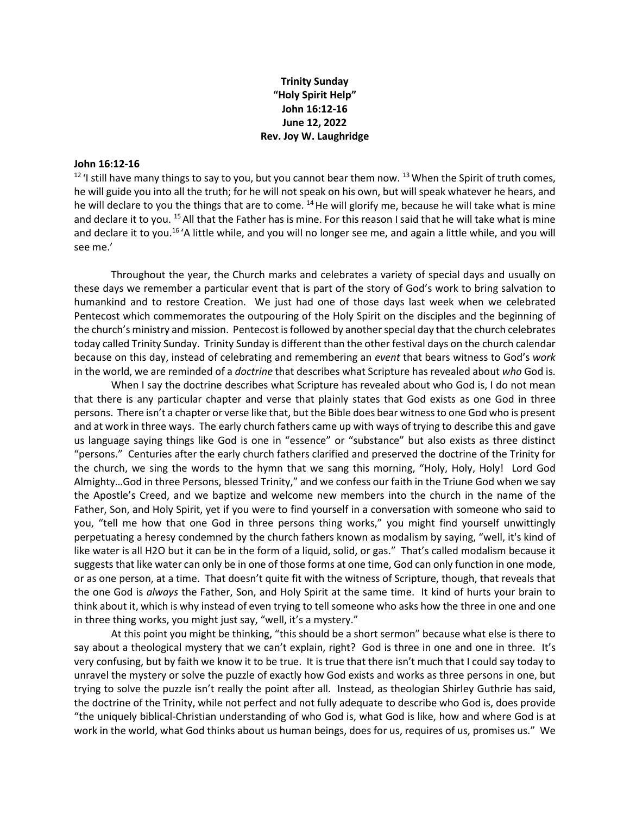## **Trinity Sunday "Holy Spirit Help" John 16:12-16 June 12, 2022 Rev. Joy W. Laughridge**

## **John 16:12-16**

 $12$  'I still have many things to say to you, but you cannot bear them now.  $13$  When the Spirit of truth comes, he will guide you into all the truth; for he will not speak on his own, but will speak whatever he hears, and he will declare to you the things that are to come.  $^{14}$  He will glorify me, because he will take what is mine and declare it to you. <sup>15</sup> All that the Father has is mine. For this reason I said that he will take what is mine and declare it to you.16 'A little while, and you will no longer see me, and again a little while, and you will see me.'

Throughout the year, the Church marks and celebrates a variety of special days and usually on these days we remember a particular event that is part of the story of God's work to bring salvation to humankind and to restore Creation. We just had one of those days last week when we celebrated Pentecost which commemorates the outpouring of the Holy Spirit on the disciples and the beginning of the church's ministry and mission. Pentecost is followed by another special day that the church celebrates today called Trinity Sunday. Trinity Sunday is different than the other festival days on the church calendar because on this day, instead of celebrating and remembering an *event* that bears witness to God's *work* in the world, we are reminded of a *doctrine* that describes what Scripture has revealed about *who* God is.

When I say the doctrine describes what Scripture has revealed about who God is, I do not mean that there is any particular chapter and verse that plainly states that God exists as one God in three persons. There isn't a chapter or verse like that, but the Bible does bear witness to one God who is present and at work in three ways. The early church fathers came up with ways of trying to describe this and gave us language saying things like God is one in "essence" or "substance" but also exists as three distinct "persons." Centuries after the early church fathers clarified and preserved the doctrine of the Trinity for the church, we sing the words to the hymn that we sang this morning, "Holy, Holy, Holy! Lord God Almighty…God in three Persons, blessed Trinity," and we confess our faith in the Triune God when we say the Apostle's Creed, and we baptize and welcome new members into the church in the name of the Father, Son, and Holy Spirit, yet if you were to find yourself in a conversation with someone who said to you, "tell me how that one God in three persons thing works," you might find yourself unwittingly perpetuating a heresy condemned by the church fathers known as modalism by saying, "well, it's kind of like water is all H2O but it can be in the form of a liquid, solid, or gas." That's called modalism because it suggests that like water can only be in one of those forms at one time, God can only function in one mode, or as one person, at a time. That doesn't quite fit with the witness of Scripture, though, that reveals that the one God is *always* the Father, Son, and Holy Spirit at the same time. It kind of hurts your brain to think about it, which is why instead of even trying to tell someone who asks how the three in one and one in three thing works, you might just say, "well, it's a mystery."

At this point you might be thinking, "this should be a short sermon" because what else is there to say about a theological mystery that we can't explain, right? God is three in one and one in three. It's very confusing, but by faith we know it to be true. It is true that there isn't much that I could say today to unravel the mystery or solve the puzzle of exactly how God exists and works as three persons in one, but trying to solve the puzzle isn't really the point after all. Instead, as theologian Shirley Guthrie has said, the doctrine of the Trinity, while not perfect and not fully adequate to describe who God is, does provide "the uniquely biblical-Christian understanding of who God is, what God is like, how and where God is at work in the world, what God thinks about us human beings, does for us, requires of us, promises us." We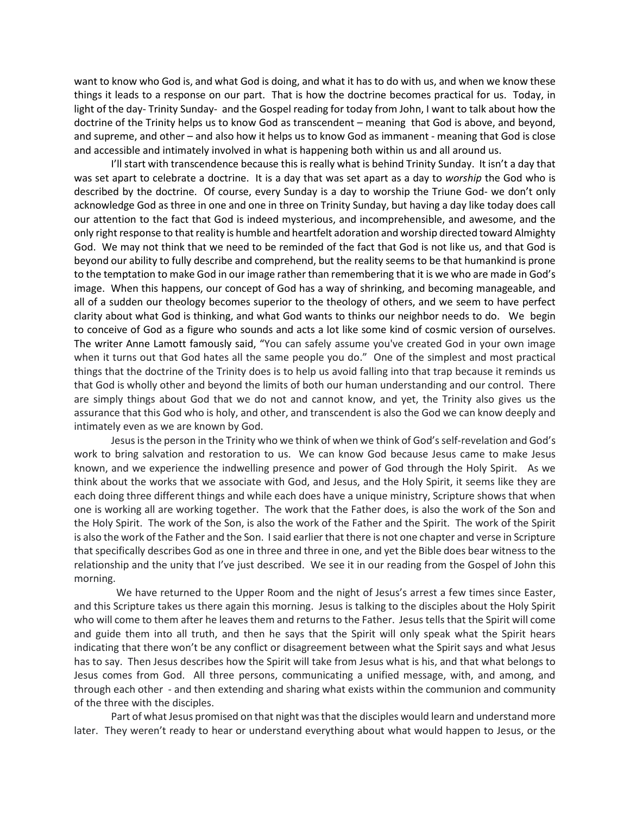want to know who God is, and what God is doing, and what it has to do with us, and when we know these things it leads to a response on our part. That is how the doctrine becomes practical for us. Today, in light of the day- Trinity Sunday- and the Gospel reading for today from John, I want to talk about how the doctrine of the Trinity helps us to know God as transcendent – meaning that God is above, and beyond, and supreme, and other – and also how it helps us to know God as immanent - meaning that God is close and accessible and intimately involved in what is happening both within us and all around us.

I'll start with transcendence because this is really what is behind Trinity Sunday. It isn't a day that was set apart to celebrate a doctrine. It is a day that was set apart as a day to *worship* the God who is described by the doctrine. Of course, every Sunday is a day to worship the Triune God- we don't only acknowledge God as three in one and one in three on Trinity Sunday, but having a day like today does call our attention to the fact that God is indeed mysterious, and incomprehensible, and awesome, and the only right response to that reality is humble and heartfelt adoration and worship directed toward Almighty God. We may not think that we need to be reminded of the fact that God is not like us, and that God is beyond our ability to fully describe and comprehend, but the reality seems to be that humankind is prone to the temptation to make God in our image rather than remembering that it is we who are made in God's image. When this happens, our concept of God has a way of shrinking, and becoming manageable, and all of a sudden our theology becomes superior to the theology of others, and we seem to have perfect clarity about what God is thinking, and what God wants to thinks our neighbor needs to do. We begin to conceive of God as a figure who sounds and acts a lot like some kind of cosmic version of ourselves. The writer Anne Lamott famously said, "You can safely assume you've created God in your own image when it turns out that God hates all the same people you do." One of the simplest and most practical things that the doctrine of the Trinity does is to help us avoid falling into that trap because it reminds us that God is wholly other and beyond the limits of both our human understanding and our control. There are simply things about God that we do not and cannot know, and yet, the Trinity also gives us the assurance that this God who is holy, and other, and transcendent is also the God we can know deeply and intimately even as we are known by God.

Jesusis the person in the Trinity who we think of when we think of God's self-revelation and God's work to bring salvation and restoration to us. We can know God because Jesus came to make Jesus known, and we experience the indwelling presence and power of God through the Holy Spirit. As we think about the works that we associate with God, and Jesus, and the Holy Spirit, it seems like they are each doing three different things and while each does have a unique ministry, Scripture shows that when one is working all are working together. The work that the Father does, is also the work of the Son and the Holy Spirit. The work of the Son, is also the work of the Father and the Spirit. The work of the Spirit is also the work of the Father and the Son. I said earlier that there is not one chapter and verse in Scripture that specifically describes God as one in three and three in one, and yet the Bible does bear witness to the relationship and the unity that I've just described. We see it in our reading from the Gospel of John this morning.

 We have returned to the Upper Room and the night of Jesus's arrest a few times since Easter, and this Scripture takes us there again this morning. Jesus is talking to the disciples about the Holy Spirit who will come to them after he leaves them and returns to the Father. Jesus tells that the Spirit will come and guide them into all truth, and then he says that the Spirit will only speak what the Spirit hears indicating that there won't be any conflict or disagreement between what the Spirit says and what Jesus has to say. Then Jesus describes how the Spirit will take from Jesus what is his, and that what belongs to Jesus comes from God. All three persons, communicating a unified message, with, and among, and through each other - and then extending and sharing what exists within the communion and community of the three with the disciples.

Part of what Jesus promised on that night was that the disciples would learn and understand more later. They weren't ready to hear or understand everything about what would happen to Jesus, or the